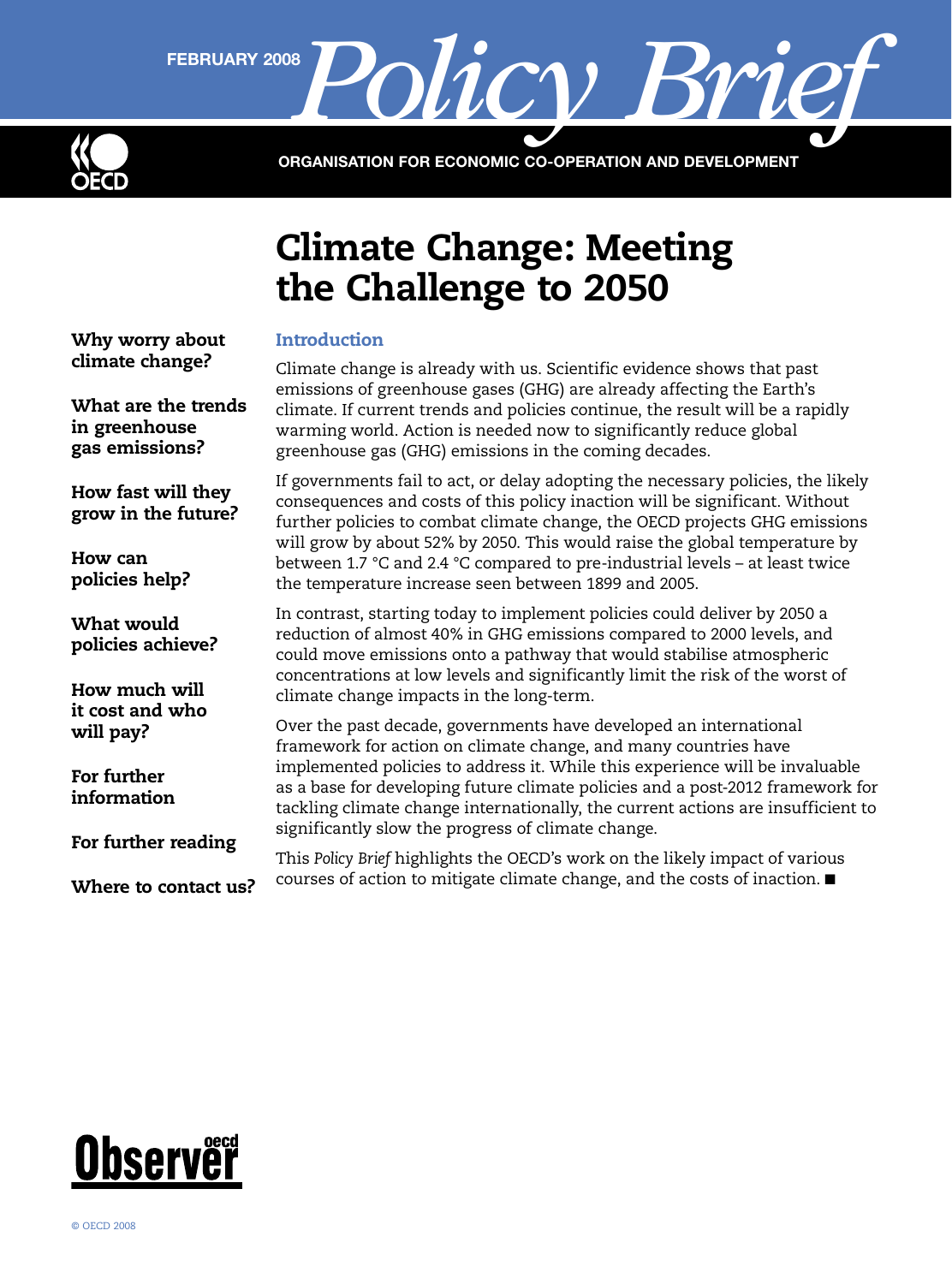

FEBRUARY 2008 Policy Brief

ORGANISATION FOR ECONOMIC CO-OPERATION AND DEVELOPMENT

# Climate Change: Meeting the Challenge to 2050

[Why worry about](#page-1-0)  [climate change?](#page-1-0)

[What are the trends](#page-1-0)  [in greenhouse](#page-1-0)  [gas emissions?](#page-1-0)

[How fast will they](#page-2-0)  [grow in the future?](#page-2-0)

[How can](#page-2-0)  [policies help?](#page-2-0)

[What would](#page-3-0)  [policies achieve?](#page-3-0)

[How much will](#page-5-0)  [it cost and who](#page-5-0)  [will pay?](#page-5-0)

[For further](#page-6-0)  [information](#page-6-0)

[For further reading](#page-7-0)

[Where to contact us?](#page-7-0)

## **Introduction**

Climate change is already with us. Scientific evidence shows that past emissions of greenhouse gases (GHG) are already affecting the Earth's climate. If current trends and policies continue, the result will be a rapidly warming world. Action is needed now to significantly reduce global greenhouse gas (GHG) emissions in the coming decades.

If governments fail to act, or delay adopting the necessary policies, the likely consequences and costs of this policy inaction will be significant. Without further policies to combat climate change, the OECD projects GHG emissions will grow by about 52% by 2050. This would raise the global temperature by between 1.7 °C and 2.4 °C compared to pre-industrial levels – at least twice the temperature increase seen between 1899 and 2005.

In contrast, starting today to implement policies could deliver by 2050 a reduction of almost 40% in GHG emissions compared to 2000 levels, and could move emissions onto a pathway that would stabilise atmospheric concentrations at low levels and significantly limit the risk of the worst of climate change impacts in the long-term.

Over the past decade, governments have developed an international framework for action on climate change, and many countries have implemented policies to address it. While this experience will be invaluable as a base for developing future climate policies and a post-2012 framework for tackling climate change internationally, the current actions are insufficient to significantly slow the progress of climate change.

This *Policy Brief* highlights the OECD's work on the likely impact of various courses of action to mitigate climate change, and the costs of inaction. ■

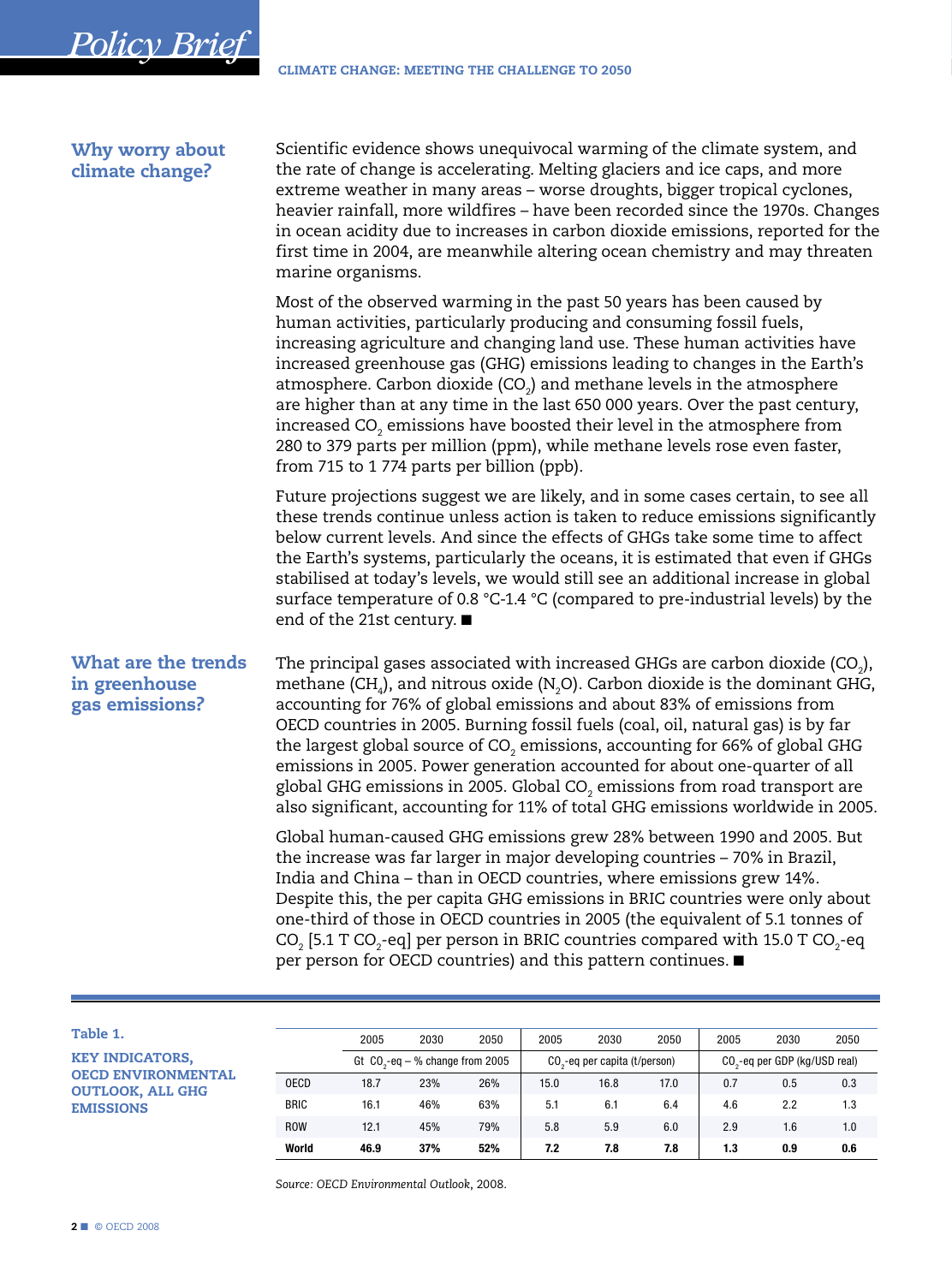<span id="page-1-0"></span>

| Why worry about<br>climate change?                     | Scientific evidence shows unequivocal warming of the climate system, and<br>the rate of change is accelerating. Melting glaciers and ice caps, and more<br>extreme weather in many areas - worse droughts, bigger tropical cyclones,<br>heavier rainfall, more wildfires - have been recorded since the 1970s. Changes<br>in ocean acidity due to increases in carbon dioxide emissions, reported for the<br>first time in 2004, are meanwhile altering ocean chemistry and may threaten<br>marine organisms.                                                                                                                                                                                                         |
|--------------------------------------------------------|-----------------------------------------------------------------------------------------------------------------------------------------------------------------------------------------------------------------------------------------------------------------------------------------------------------------------------------------------------------------------------------------------------------------------------------------------------------------------------------------------------------------------------------------------------------------------------------------------------------------------------------------------------------------------------------------------------------------------|
|                                                        | Most of the observed warming in the past 50 years has been caused by<br>human activities, particularly producing and consuming fossil fuels,<br>increasing agriculture and changing land use. These human activities have<br>increased greenhouse gas (GHG) emissions leading to changes in the Earth's<br>atmosphere. Carbon dioxide $(CO2)$ and methane levels in the atmosphere<br>are higher than at any time in the last 650 000 years. Over the past century,<br>increased CO <sub>2</sub> emissions have boosted their level in the atmosphere from<br>280 to 379 parts per million (ppm), while methane levels rose even faster,<br>from 715 to 1774 parts per billion (ppb).                                 |
|                                                        | Future projections suggest we are likely, and in some cases certain, to see all<br>these trends continue unless action is taken to reduce emissions significantly<br>below current levels. And since the effects of GHGs take some time to affect<br>the Earth's systems, particularly the oceans, it is estimated that even if GHGs<br>stabilised at today's levels, we would still see an additional increase in global<br>surface temperature of 0.8 °C-1.4 °C (compared to pre-industrial levels) by the<br>end of the 21st century. ■                                                                                                                                                                            |
| What are the trends<br>in greenhouse<br>gas emissions? | The principal gases associated with increased GHGs are carbon dioxide (CO <sub>2</sub> ),<br>methane (CH <sub>4</sub> ), and nitrous oxide (N <sub>2</sub> O). Carbon dioxide is the dominant GHG,<br>accounting for 76% of global emissions and about 83% of emissions from<br>OECD countries in 2005. Burning fossil fuels (coal, oil, natural gas) is by far<br>the largest global source of CO <sub>2</sub> emissions, accounting for 66% of global GHG<br>emissions in 2005. Power generation accounted for about one-quarter of all<br>global GHG emissions in 2005. Global CO <sub>2</sub> emissions from road transport are<br>also significant, accounting for 11% of total GHG emissions worldwide in 2005. |
|                                                        | Global human-caused GHG emissions grew 28% between 1990 and 2005. But<br>the increase was far larger in major developing countries - 70% in Brazil,<br>India and China - than in OECD countries, where emissions grew 14%.<br>Despite this, the per capita GHG emissions in BRIC countries were only about<br>one-third of those in OECD countries in 2005 (the equivalent of 5.1 tonnes of<br>$CO2$ [5.1 T CO <sub>2</sub> -eq] per person in BRIC countries compared with 15.0 T CO <sub>2</sub> -eq<br>per person for OECD countries) and this pattern continues. ■                                                                                                                                                |

| ____ |  |
|------|--|
|      |  |

KEY INDICATORS, OECD ENVIRONMENTAL OUTLOOK, ALL GHG EMISSIONS

|             | 2005 | 2030                              | 2050 | 2005 | 2030                                      | 2050 | 2005 | 2030                                      | 2050 |
|-------------|------|-----------------------------------|------|------|-------------------------------------------|------|------|-------------------------------------------|------|
|             |      | Gt $CO2$ -eq – % change from 2005 |      |      | CO <sub>2</sub> -eq per capita (t/person) |      |      | CO <sub>2</sub> -eq per GDP (kg/USD real) |      |
| <b>OECD</b> | 18.7 | 23%                               | 26%  | 15.0 | 16.8                                      | 17.0 | 0.7  | 0.5                                       | 0.3  |
| <b>BRIC</b> | 16.1 | 46%                               | 63%  | 5.1  | 6.1                                       | 6.4  | 4.6  | 2.2                                       | 1.3  |
| <b>ROW</b>  | 12.1 | 45%                               | 79%  | 5.8  | 5.9                                       | 6.0  | 2.9  | 1.6                                       | 1.0  |
| World       | 46.9 | 37%                               | 52%  | 7.2  | 7.8                                       | 7.8  | 1.3  | 0.9                                       | 0.6  |

*Source: OECD Environmental Outlook*, 2008.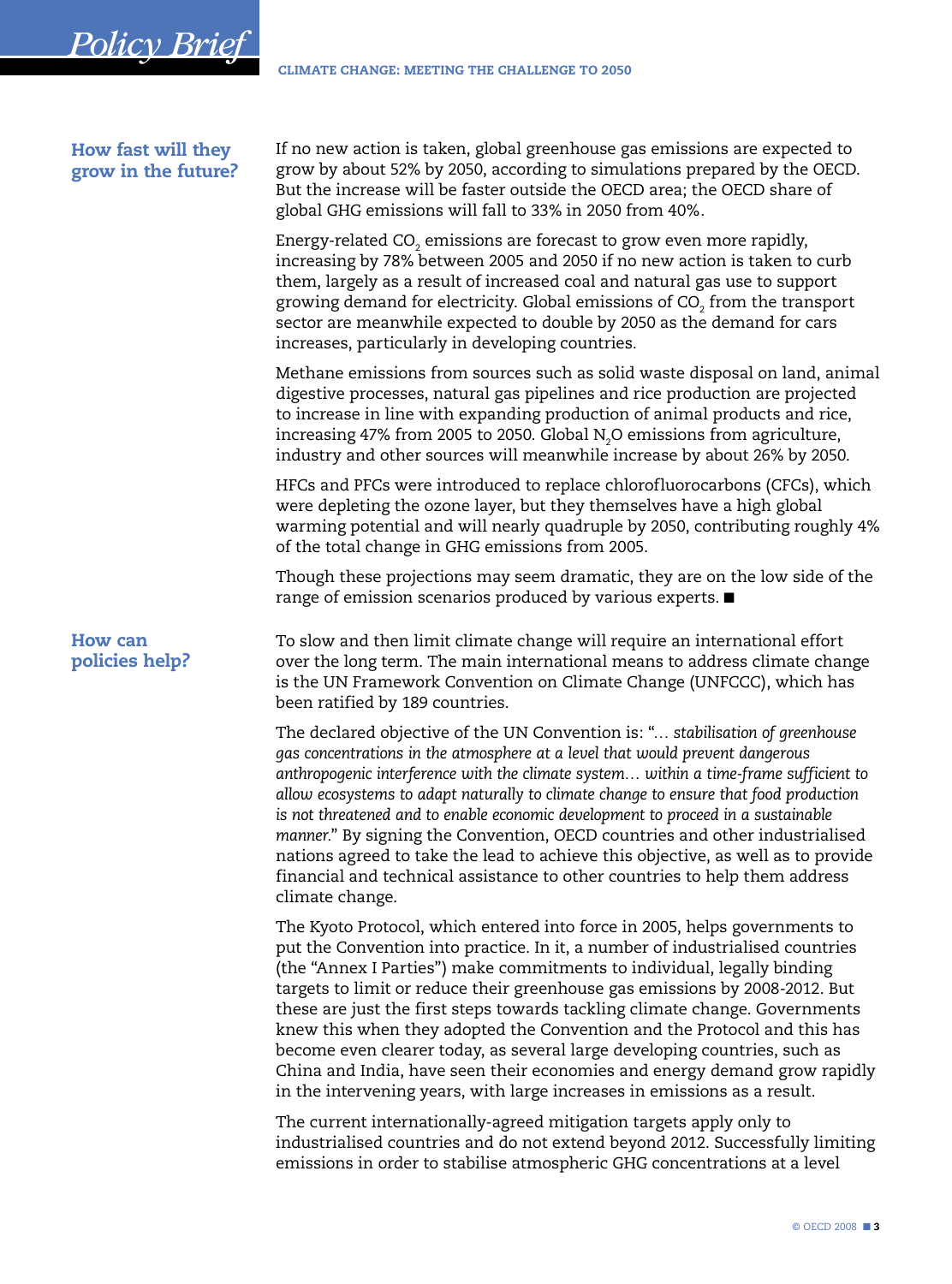<span id="page-2-0"></span>*Policy Brief*

| How fast will they<br>grow in the future? | If no new action is taken, global greenhouse gas emissions are expected to<br>grow by about 52% by 2050, according to simulations prepared by the OECD.<br>But the increase will be faster outside the OECD area; the OECD share of<br>global GHG emissions will fall to 33% in 2050 from 40%.                                                                                                                                                                                                                                                                                                                                                                                                                         |
|-------------------------------------------|------------------------------------------------------------------------------------------------------------------------------------------------------------------------------------------------------------------------------------------------------------------------------------------------------------------------------------------------------------------------------------------------------------------------------------------------------------------------------------------------------------------------------------------------------------------------------------------------------------------------------------------------------------------------------------------------------------------------|
|                                           | Energy-related CO <sub>2</sub> emissions are forecast to grow even more rapidly,<br>increasing by 78% between 2005 and 2050 if no new action is taken to curb<br>them, largely as a result of increased coal and natural gas use to support<br>growing demand for electricity. Global emissions of CO <sub>2</sub> from the transport<br>sector are meanwhile expected to double by 2050 as the demand for cars<br>increases, particularly in developing countries.                                                                                                                                                                                                                                                    |
|                                           | Methane emissions from sources such as solid waste disposal on land, animal<br>digestive processes, natural gas pipelines and rice production are projected<br>to increase in line with expanding production of animal products and rice,<br>increasing 47% from 2005 to 2050. Global $N2O$ emissions from agriculture,<br>industry and other sources will meanwhile increase by about 26% by 2050.                                                                                                                                                                                                                                                                                                                    |
|                                           | HFCs and PFCs were introduced to replace chlorofluorocarbons (CFCs), which<br>were depleting the ozone layer, but they themselves have a high global<br>warming potential and will nearly quadruple by 2050, contributing roughly 4%<br>of the total change in GHG emissions from 2005.                                                                                                                                                                                                                                                                                                                                                                                                                                |
|                                           | Though these projections may seem dramatic, they are on the low side of the<br>range of emission scenarios produced by various experts. ■                                                                                                                                                                                                                                                                                                                                                                                                                                                                                                                                                                              |
| <b>How can</b><br>policies help?          | To slow and then limit climate change will require an international effort<br>over the long term. The main international means to address climate change<br>is the UN Framework Convention on Climate Change (UNFCCC), which has<br>been ratified by 189 countries.                                                                                                                                                                                                                                                                                                                                                                                                                                                    |
|                                           | The declared objective of the UN Convention is: " stabilisation of greenhouse<br>gas concentrations in the atmosphere at a level that would prevent dangerous<br>anthropogenic interference with the climate system within a time-frame sufficient to<br>allow ecosystems to adapt naturally to climate change to ensure that food production<br>is not threatened and to enable economic development to proceed in a sustainable<br>manner." By signing the Convention, OECD countries and other industrialised<br>nations agreed to take the lead to achieve this objective, as well as to provide<br>financial and technical assistance to other countries to help them address<br>climate change.                  |
|                                           | The Kyoto Protocol, which entered into force in 2005, helps governments to<br>put the Convention into practice. In it, a number of industrialised countries<br>(the "Annex I Parties") make commitments to individual, legally binding<br>targets to limit or reduce their greenhouse gas emissions by 2008-2012. But<br>these are just the first steps towards tackling climate change. Governments<br>knew this when they adopted the Convention and the Protocol and this has<br>become even clearer today, as several large developing countries, such as<br>China and India, have seen their economies and energy demand grow rapidly<br>in the intervening years, with large increases in emissions as a result. |
|                                           | The current internationally-agreed mitigation targets apply only to                                                                                                                                                                                                                                                                                                                                                                                                                                                                                                                                                                                                                                                    |

industrialised countries and do not extend beyond 2012. Successfully limiting emissions in order to stabilise atmospheric GHG concentrations at a level

© OECD 2008 ■ 3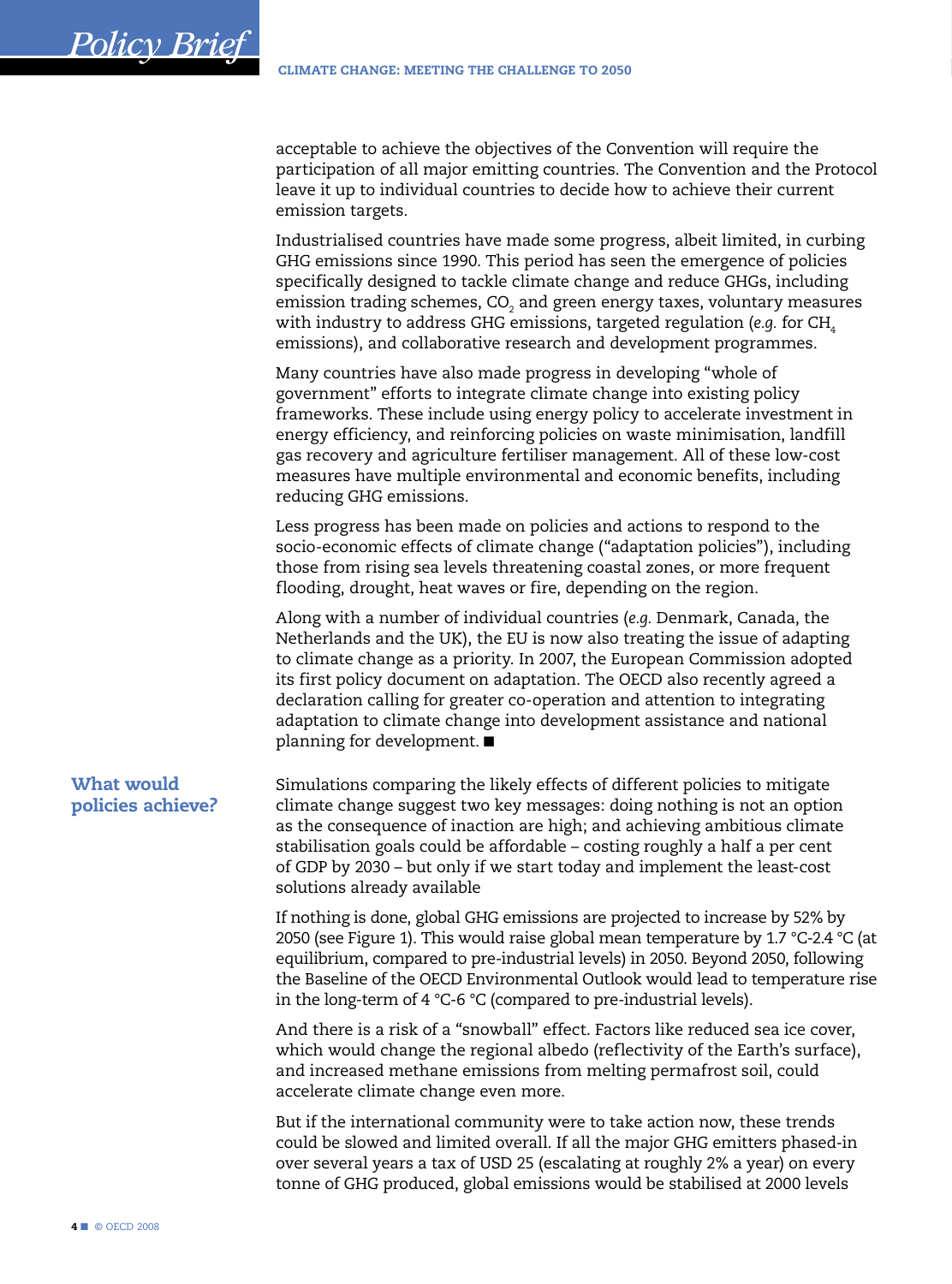<span id="page-3-0"></span>acceptable to achieve the objectives of the Convention will require the participation of all major emitting countries. The Convention and the Protocol leave it up to individual countries to decide how to achieve their current emission targets.

Industrialised countries have made some progress, albeit limited, in curbing GHG emissions since 1990. This period has seen the emergence of policies specifically designed to tackle climate change and reduce GHGs, including emission trading schemes, CO $_{\textrm{\tiny{2}}}$  and green energy taxes, voluntary measures with industry to address GHG emissions, targeted regulation (*e.g.* for CH<sub>4</sub> emissions), and collaborative research and development programmes.

Many countries have also made progress in developing "whole of government" efforts to integrate climate change into existing policy frameworks. These include using energy policy to accelerate investment in energy efficiency, and reinforcing policies on waste minimisation, landfill gas recovery and agriculture fertiliser management. All of these low-cost measures have multiple environmental and economic benefits, including reducing GHG emissions.

Less progress has been made on policies and actions to respond to the socio-economic effects of climate change ("adaptation policies"), including those from rising sea levels threatening coastal zones, or more frequent flooding, drought, heat waves or fire, depending on the region.

Along with a number of individual countries (*e.g.* Denmark, Canada, the Netherlands and the UK), the EU is now also treating the issue of adapting to climate change as a priority. In 2007, the European Commission adopted its first policy document on adaptation. The OECD also recently agreed a declaration calling for greater co-operation and attention to integrating adaptation to climate change into development assistance and national planning for development. ■

Simulations comparing the likely effects of different policies to mitigate climate change suggest two key messages: doing nothing is not an option as the consequence of inaction are high; and achieving ambitious climate stabilisation goals could be affordable – costing roughly a half a per cent of GDP by 2030 – but only if we start today and implement the least-cost solutions already available What would policies achieve?

> If nothing is done, global GHG emissions are projected to increase by 52% by 2050 (see Figure 1). This would raise global mean temperature by 1.7 °C-2.4 °C (at equilibrium, compared to pre-industrial levels) in 2050. Beyond 2050, following the Baseline of the OECD Environmental Outlook would lead to temperature rise in the long-term of 4 °C-6 °C (compared to pre-industrial levels).

And there is a risk of a "snowball" effect. Factors like reduced sea ice cover, which would change the regional albedo (reflectivity of the Earth's surface), and increased methane emissions from melting permafrost soil, could accelerate climate change even more.

But if the international community were to take action now, these trends could be slowed and limited overall. If all the major GHG emitters phased-in over several years a tax of USD 25 (escalating at roughly 2% a year) on every tonne of GHG produced, global emissions would be stabilised at 2000 levels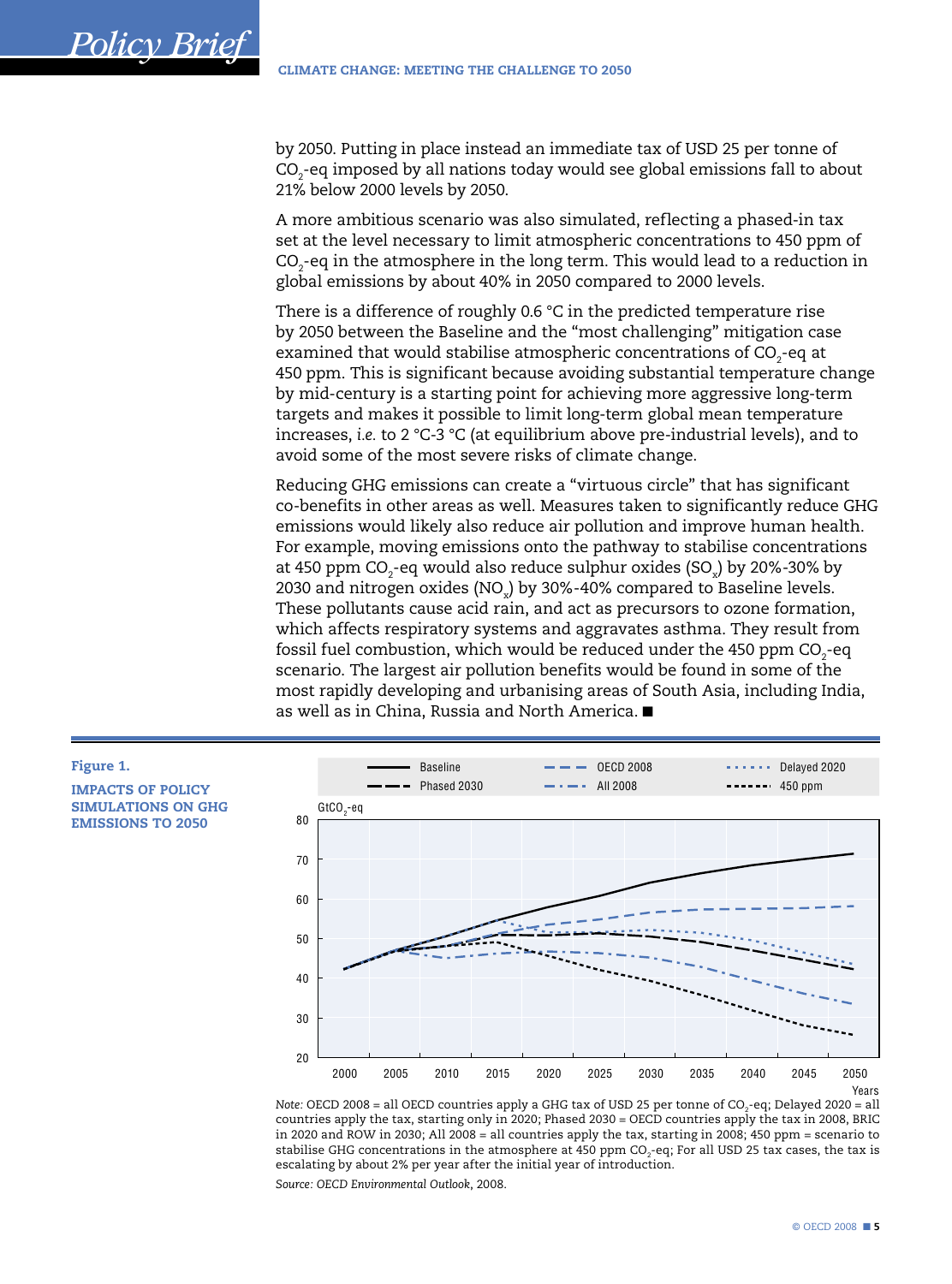by 2050. Putting in place instead an immediate tax of USD 25 per tonne of  $\text{CO}_2$ -eq imposed by all nations today would see global emissions fall to about 21% below 2000 levels by 2050.

A more ambitious scenario was also simulated, reflecting a phased-in tax set at the level necessary to limit atmospheric concentrations to 450 ppm of  $\text{CO}_2$ -eq in the atmosphere in the long term. This would lead to a reduction in global emissions by about 40% in 2050 compared to 2000 levels.

There is a difference of roughly 0.6 °C in the predicted temperature rise by 2050 between the Baseline and the "most challenging" mitigation case examined that would stabilise atmospheric concentrations of CO $_{\textrm{\tiny{2}}}$ -eq at 450 ppm. This is significant because avoiding substantial temperature change by mid-century is a starting point for achieving more aggressive long-term targets and makes it possible to limit long-term global mean temperature increases, *i.e.* to 2 °C-3 °C (at equilibrium above pre-industrial levels), and to avoid some of the most severe risks of climate change.

Reducing GHG emissions can create a "virtuous circle" that has significant co-benefits in other areas as well. Measures taken to significantly reduce GHG emissions would likely also reduce air pollution and improve human health. For example, moving emissions onto the pathway to stabilise concentrations at 450 ppm CO $_2$ -eq would also reduce sulphur oxides (SO $_{\mathrm{\star}}$ ) by 20%-30% by 2030 and nitrogen oxides (NO<sub>x</sub>) by 30%-40% compared to Baseline levels. These pollutants cause acid rain, and act as precursors to ozone formation, which affects respiratory systems and aggravates asthma. They result from fossil fuel combustion, which would be reduced under the 450  ${\rm ppm}$  CO $_2$ -eq scenario. The largest air pollution benefits would be found in some of the most rapidly developing and urbanising areas of South Asia, including India, as well as in China, Russia and North America. ■



#### IMPACTS OF POLICY SIMULATIONS ON GHG EMISSIONS TO 2050

*Policy Brief*



Note: OECD 2008 = all OECD countries apply a GHG tax of USD 25 per tonne of CO<sub>2</sub>-eq; Delayed 2020 = all countries apply the tax, starting only in 2020; Phased 2030 = OECD countries apply the tax in 2008, BRIC in 2020 and ROW in 2030; All 2008 = all countries apply the tax, starting in 2008; 450 ppm = scenario to stabilise GHG concentrations in the atmosphere at 450 ppm CO $_2$ -eq; For all USD 25 tax cases, the tax is escalating by about 2% per year after the initial year of introduction.

*Source: OECD Environmental Outlook*, 2008.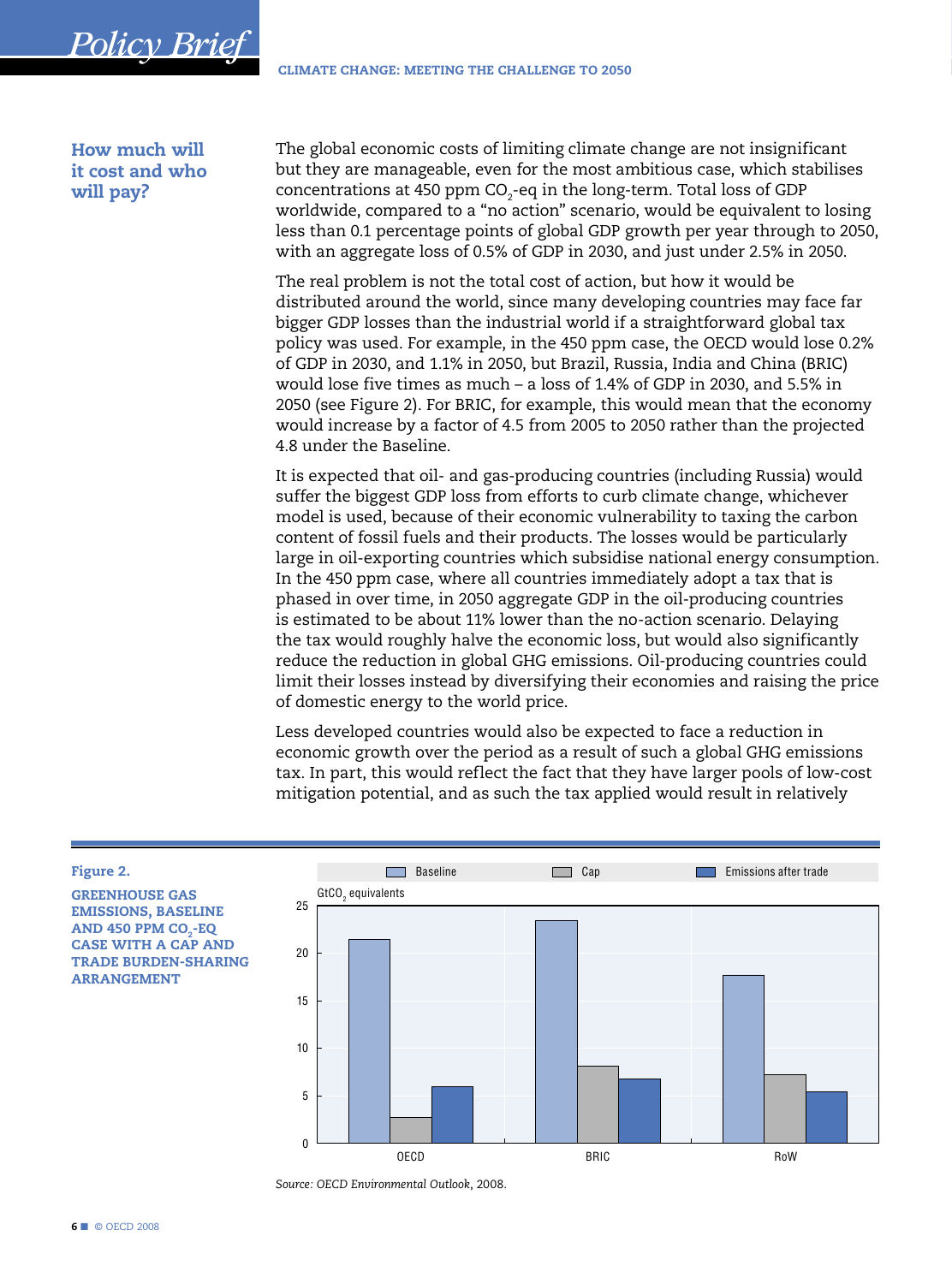How much will it cost and who will pay?

<span id="page-5-0"></span>*Policy Brief*

The global economic costs of limiting climate change are not insignificant but they are manageable, even for the most ambitious case, which stabilises concentrations at 450 ppm CO $_2$ -eq in the long-term. Total loss of GDP worldwide, compared to a "no action" scenario, would be equivalent to losing less than 0.1 percentage points of global GDP growth per year through to 2050, with an aggregate loss of 0.5% of GDP in 2030, and just under 2.5% in 2050.

The real problem is not the total cost of action, but how it would be distributed around the world, since many developing countries may face far bigger GDP losses than the industrial world if a straightforward global tax policy was used. For example, in the 450 ppm case, the OECD would lose 0.2% of GDP in 2030, and 1.1% in 2050, but Brazil, Russia, India and China (BRIC) would lose five times as much – a loss of 1.4% of GDP in 2030, and 5.5% in 2050 (see Figure 2). For BRIC, for example, this would mean that the economy would increase by a factor of 4.5 from 2005 to 2050 rather than the projected 4.8 under the Baseline.

It is expected that oil- and gas-producing countries (including Russia) would suffer the biggest GDP loss from efforts to curb climate change, whichever model is used, because of their economic vulnerability to taxing the carbon content of fossil fuels and their products. The losses would be particularly large in oil-exporting countries which subsidise national energy consumption. In the 450 ppm case, where all countries immediately adopt a tax that is phased in over time, in 2050 aggregate GDP in the oil-producing countries is estimated to be about 11% lower than the no-action scenario. Delaying the tax would roughly halve the economic loss, but would also significantly reduce the reduction in global GHG emissions. Oil-producing countries could limit their losses instead by diversifying their economies and raising the price of domestic energy to the world price.

Less developed countries would also be expected to face a reduction in economic growth over the period as a result of such a global GHG emissions tax. In part, this would reflect the fact that they have larger pools of low-cost mitigation potential, and as such the tax applied would result in relatively

#### Figure 2.

GREENHOUSE GAS EMISSIONS, BASELINE AND 450 PPM CO<sub>2</sub>-EQ CASE WITH A CAP AND TRADE BURDEN-SHARING ARRANGEMENT



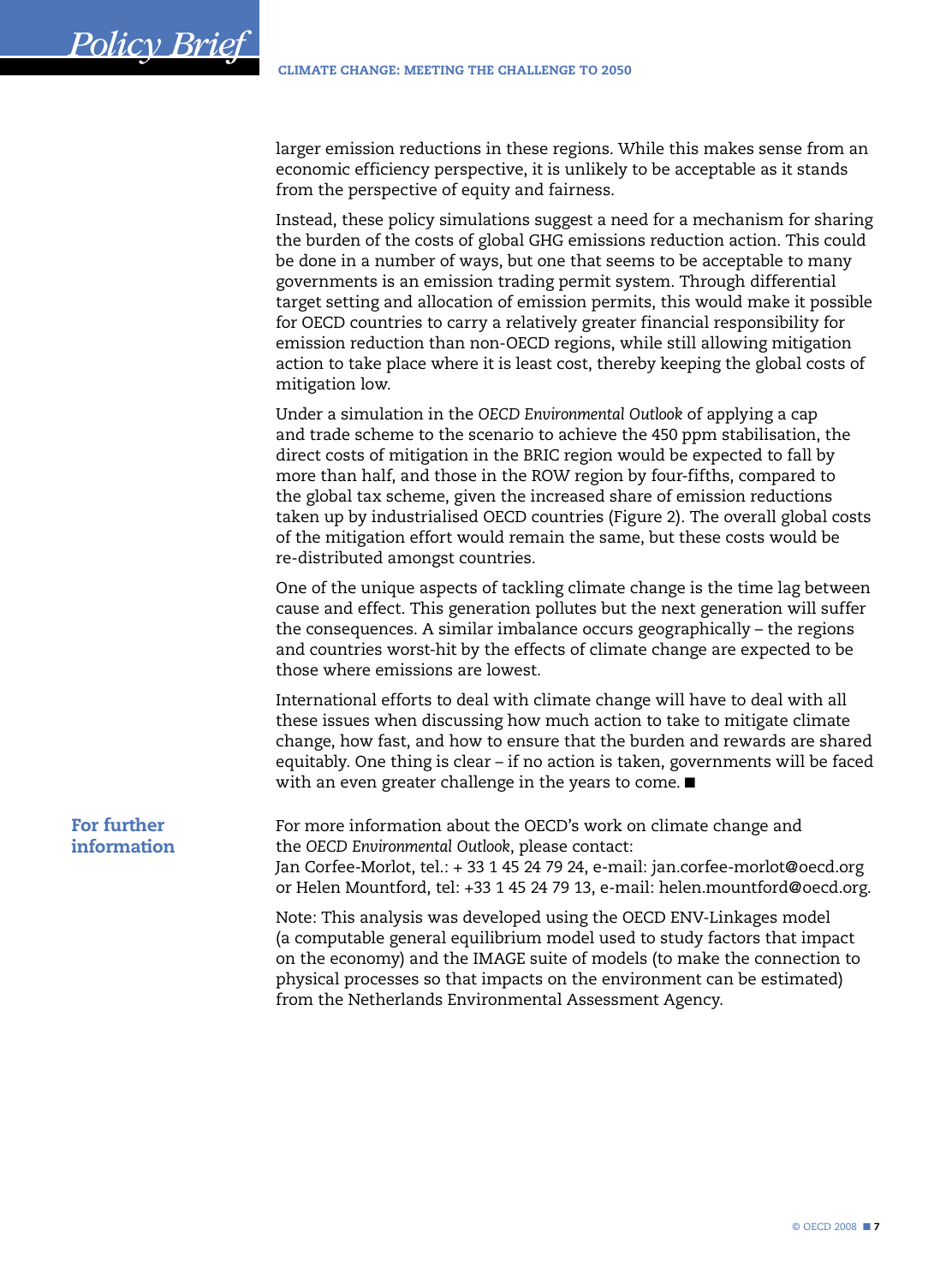<span id="page-6-0"></span>larger emission reductions in these regions. While this makes sense from an economic efficiency perspective, it is unlikely to be acceptable as it stands from the perspective of equity and fairness.

Instead, these policy simulations suggest a need for a mechanism for sharing the burden of the costs of global GHG emissions reduction action. This could be done in a number of ways, but one that seems to be acceptable to many governments is an emission trading permit system. Through differential target setting and allocation of emission permits, this would make it possible for OECD countries to carry a relatively greater financial responsibility for emission reduction than non-OECD regions, while still allowing mitigation action to take place where it is least cost, thereby keeping the global costs of mitigation low.

Under a simulation in the *OECD Environmental Outlook* of applying a cap and trade scheme to the scenario to achieve the 450 ppm stabilisation, the direct costs of mitigation in the BRIC region would be expected to fall by more than half, and those in the ROW region by four-fifths, compared to the global tax scheme, given the increased share of emission reductions taken up by industrialised OECD countries (Figure 2). The overall global costs of the mitigation effort would remain the same, but these costs would be re-distributed amongst countries.

One of the unique aspects of tackling climate change is the time lag between cause and effect. This generation pollutes but the next generation will suffer the consequences. A similar imbalance occurs geographically – the regions and countries worst-hit by the effects of climate change are expected to be those where emissions are lowest.

International efforts to deal with climate change will have to deal with all these issues when discussing how much action to take to mitigate climate change, how fast, and how to ensure that the burden and rewards are shared equitably. One thing is clear – if no action is taken, governments will be faced with an even greater challenge in the years to come. ■

# For further information

For more information about the OECD's work on climate change and the *OECD Environmental Outlook*, please contact: Jan Corfee-Morlot, tel.: + 33 1 45 24 79 24, e-mail: jan.corfee-morlot@oecd.org or Helen Mountford, tel: +33 1 45 24 79 13, e-mail: helen.mountford@oecd.org.

Note: This analysis was developed using the OECD ENV-Linkages model (a computable general equilibrium model used to study factors that impact on the economy) and the IMAGE suite of models (to make the connection to physical processes so that impacts on the environment can be estimated) from the Netherlands Environmental Assessment Agency.